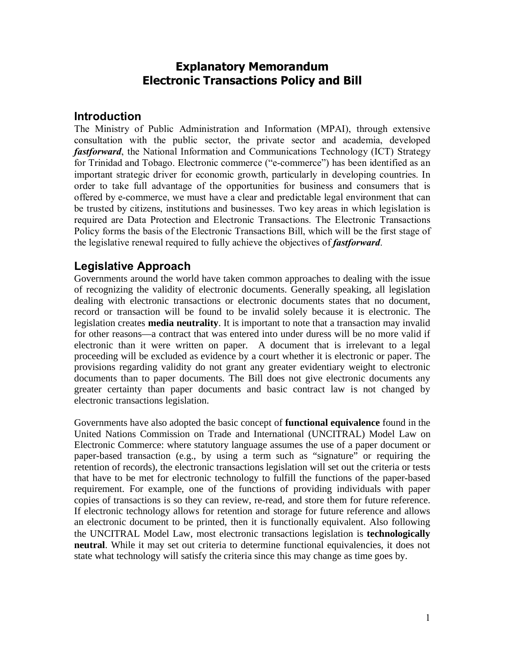# **Explanatory Memorandum Electronic Transactions Policy and Bill**

## **Introduction**

The Ministry of Public Administration and Information (MPAI), through extensive consultation with the public sector, the private sector and academia, developed *fastforward*, the National Information and Communications Technology (ICT) Strategy for Trinidad and Tobago. Electronic commerce ("e-commerce") has been identified as an important strategic driver for economic growth, particularly in developing countries. In order to take full advantage of the opportunities for business and consumers that is offered by e-commerce, we must have a clear and predictable legal environment that can be trusted by citizens, institutions and businesses. Two key areas in which legislation is required are Data Protection and Electronic Transactions. The Electronic Transactions Policy forms the basis of the Electronic Transactions Bill, which will be the first stage of the legislative renewal required to fully achieve the objectives of *fastforward*.

## **Legislative Approach**

Governments around the world have taken common approaches to dealing with the issue of recognizing the validity of electronic documents. Generally speaking, all legislation dealing with electronic transactions or electronic documents states that no document, record or transaction will be found to be invalid solely because it is electronic. The legislation creates **media neutrality**. It is important to note that a transaction may invalid for other reasons—a contract that was entered into under duress will be no more valid if electronic than it were written on paper. A document that is irrelevant to a legal proceeding will be excluded as evidence by a court whether it is electronic or paper. The provisions regarding validity do not grant any greater evidentiary weight to electronic documents than to paper documents. The Bill does not give electronic documents any greater certainty than paper documents and basic contract law is not changed by electronic transactions legislation.

Governments have also adopted the basic concept of **functional equivalence** found in the United Nations Commission on Trade and International (UNCITRAL) Model Law on Electronic Commerce: where statutory language assumes the use of a paper document or paper-based transaction (e.g., by using a term such as "signature" or requiring the retention of records), the electronic transactions legislation will set out the criteria or tests that have to be met for electronic technology to fulfill the functions of the paper-based requirement. For example, one of the functions of providing individuals with paper copies of transactions is so they can review, re-read, and store them for future reference. If electronic technology allows for retention and storage for future reference and allows an electronic document to be printed, then it is functionally equivalent. Also following the UNCITRAL Model Law, most electronic transactions legislation is **technologically neutral**. While it may set out criteria to determine functional equivalencies, it does not state what technology will satisfy the criteria since this may change as time goes by.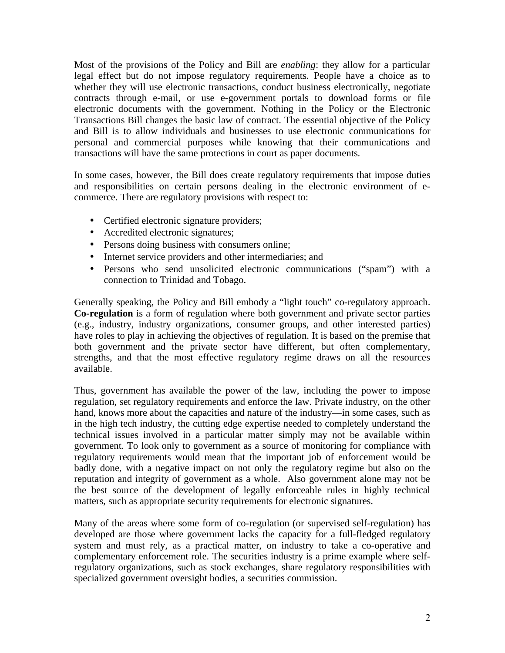Most of the provisions of the Policy and Bill are *enabling*: they allow for a particular legal effect but do not impose regulatory requirements. People have a choice as to whether they will use electronic transactions, conduct business electronically, negotiate contracts through e-mail, or use e-government portals to download forms or file electronic documents with the government. Nothing in the Policy or the Electronic Transactions Bill changes the basic law of contract. The essential objective of the Policy and Bill is to allow individuals and businesses to use electronic communications for personal and commercial purposes while knowing that their communications and transactions will have the same protections in court as paper documents.

In some cases, however, the Bill does create regulatory requirements that impose duties and responsibilities on certain persons dealing in the electronic environment of ecommerce. There are regulatory provisions with respect to:

- Certified electronic signature providers;
- Accredited electronic signatures;
- Persons doing business with consumers online;
- Internet service providers and other intermediaries; and
- Persons who send unsolicited electronic communications ("spam") with a connection to Trinidad and Tobago.

Generally speaking, the Policy and Bill embody a "light touch" co-regulatory approach. **Co-regulation** is a form of regulation where both government and private sector parties (e.g., industry, industry organizations, consumer groups, and other interested parties) have roles to play in achieving the objectives of regulation. It is based on the premise that both government and the private sector have different, but often complementary, strengths, and that the most effective regulatory regime draws on all the resources available.

Thus, government has available the power of the law, including the power to impose regulation, set regulatory requirements and enforce the law. Private industry, on the other hand, knows more about the capacities and nature of the industry—in some cases, such as in the high tech industry, the cutting edge expertise needed to completely understand the technical issues involved in a particular matter simply may not be available within government. To look only to government as a source of monitoring for compliance with regulatory requirements would mean that the important job of enforcement would be badly done, with a negative impact on not only the regulatory regime but also on the reputation and integrity of government as a whole. Also government alone may not be the best source of the development of legally enforceable rules in highly technical matters, such as appropriate security requirements for electronic signatures.

Many of the areas where some form of co-regulation (or supervised self-regulation) has developed are those where government lacks the capacity for a full-fledged regulatory system and must rely, as a practical matter, on industry to take a co-operative and complementary enforcement role. The securities industry is a prime example where selfregulatory organizations, such as stock exchanges, share regulatory responsibilities with specialized government oversight bodies, a securities commission.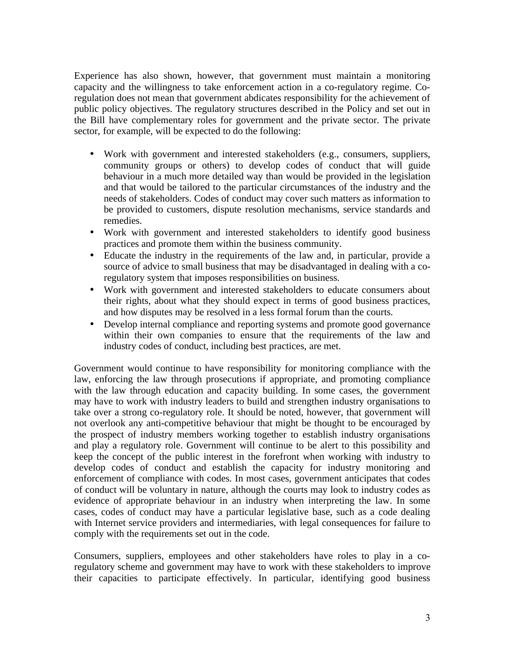Experience has also shown, however, that government must maintain a monitoring capacity and the willingness to take enforcement action in a co-regulatory regime. Coregulation does not mean that government abdicates responsibility for the achievement of public policy objectives. The regulatory structures described in the Policy and set out in the Bill have complementary roles for government and the private sector. The private sector, for example, will be expected to do the following:

- Work with government and interested stakeholders (e.g., consumers, suppliers, community groups or others) to develop codes of conduct that will guide behaviour in a much more detailed way than would be provided in the legislation and that would be tailored to the particular circumstances of the industry and the needs of stakeholders. Codes of conduct may cover such matters as information to be provided to customers, dispute resolution mechanisms, service standards and remedies.
- Work with government and interested stakeholders to identify good business practices and promote them within the business community.
- Educate the industry in the requirements of the law and, in particular, provide a source of advice to small business that may be disadvantaged in dealing with a coregulatory system that imposes responsibilities on business.
- Work with government and interested stakeholders to educate consumers about their rights, about what they should expect in terms of good business practices, and how disputes may be resolved in a less formal forum than the courts.
- Develop internal compliance and reporting systems and promote good governance within their own companies to ensure that the requirements of the law and industry codes of conduct, including best practices, are met.

Government would continue to have responsibility for monitoring compliance with the law, enforcing the law through prosecutions if appropriate, and promoting compliance with the law through education and capacity building. In some cases, the government may have to work with industry leaders to build and strengthen industry organisations to take over a strong co-regulatory role. It should be noted, however, that government will not overlook any anti-competitive behaviour that might be thought to be encouraged by the prospect of industry members working together to establish industry organisations and play a regulatory role. Government will continue to be alert to this possibility and keep the concept of the public interest in the forefront when working with industry to develop codes of conduct and establish the capacity for industry monitoring and enforcement of compliance with codes. In most cases, government anticipates that codes of conduct will be voluntary in nature, although the courts may look to industry codes as evidence of appropriate behaviour in an industry when interpreting the law. In some cases, codes of conduct may have a particular legislative base, such as a code dealing with Internet service providers and intermediaries, with legal consequences for failure to comply with the requirements set out in the code.

Consumers, suppliers, employees and other stakeholders have roles to play in a coregulatory scheme and government may have to work with these stakeholders to improve their capacities to participate effectively. In particular, identifying good business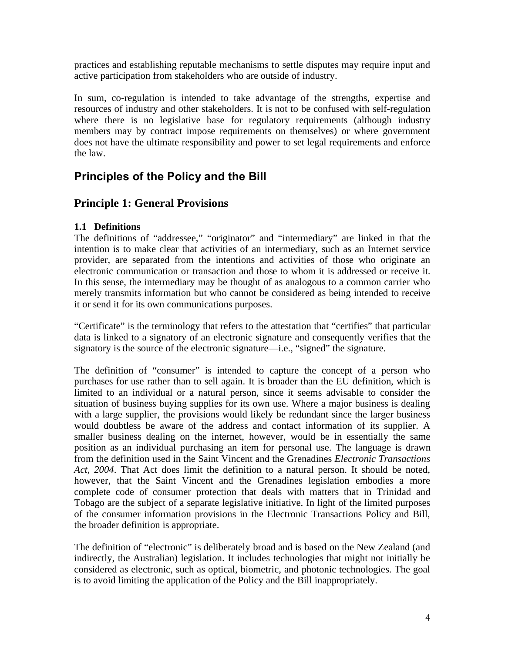practices and establishing reputable mechanisms to settle disputes may require input and active participation from stakeholders who are outside of industry.

In sum, co-regulation is intended to take advantage of the strengths, expertise and resources of industry and other stakeholders. It is not to be confused with self-regulation where there is no legislative base for regulatory requirements (although industry members may by contract impose requirements on themselves) or where government does not have the ultimate responsibility and power to set legal requirements and enforce the law.

# **Principles of the Policy and the Bill**

# **Principle 1: General Provisions**

## **1.1 Definitions**

The definitions of "addressee," "originator" and "intermediary" are linked in that the intention is to make clear that activities of an intermediary, such as an Internet service provider, are separated from the intentions and activities of those who originate an electronic communication or transaction and those to whom it is addressed or receive it. In this sense, the intermediary may be thought of as analogous to a common carrier who merely transmits information but who cannot be considered as being intended to receive it or send it for its own communications purposes.

"Certificate" is the terminology that refers to the attestation that "certifies" that particular data is linked to a signatory of an electronic signature and consequently verifies that the signatory is the source of the electronic signature—i.e., "signed" the signature.

The definition of "consumer" is intended to capture the concept of a person who purchases for use rather than to sell again. It is broader than the EU definition, which is limited to an individual or a natural person, since it seems advisable to consider the situation of business buying supplies for its own use. Where a major business is dealing with a large supplier, the provisions would likely be redundant since the larger business would doubtless be aware of the address and contact information of its supplier. A smaller business dealing on the internet, however, would be in essentially the same position as an individual purchasing an item for personal use. The language is drawn from the definition used in the Saint Vincent and the Grenadines *Electronic Transactions Act, 2004*. That Act does limit the definition to a natural person. It should be noted, however, that the Saint Vincent and the Grenadines legislation embodies a more complete code of consumer protection that deals with matters that in Trinidad and Tobago are the subject of a separate legislative initiative. In light of the limited purposes of the consumer information provisions in the Electronic Transactions Policy and Bill, the broader definition is appropriate.

The definition of "electronic" is deliberately broad and is based on the New Zealand (and indirectly, the Australian) legislation. It includes technologies that might not initially be considered as electronic, such as optical, biometric, and photonic technologies. The goal is to avoid limiting the application of the Policy and the Bill inappropriately.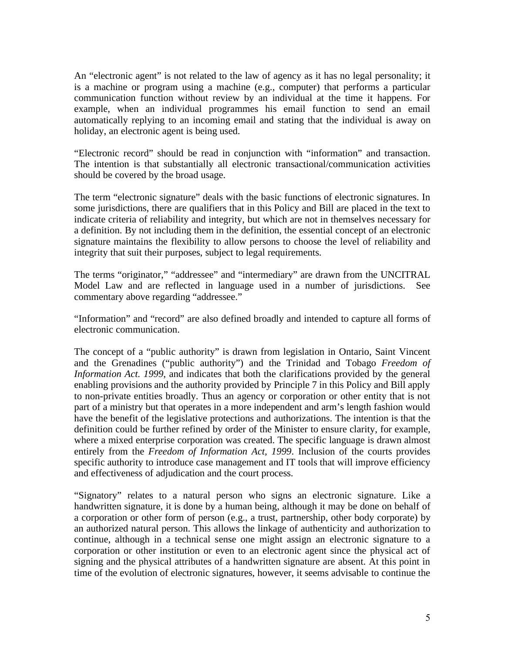An "electronic agent" is not related to the law of agency as it has no legal personality; it is a machine or program using a machine (e.g., computer) that performs a particular communication function without review by an individual at the time it happens. For example, when an individual programmes his email function to send an email automatically replying to an incoming email and stating that the individual is away on holiday, an electronic agent is being used.

"Electronic record" should be read in conjunction with "information" and transaction. The intention is that substantially all electronic transactional/communication activities should be covered by the broad usage.

The term "electronic signature" deals with the basic functions of electronic signatures. In some jurisdictions, there are qualifiers that in this Policy and Bill are placed in the text to indicate criteria of reliability and integrity, but which are not in themselves necessary for a definition. By not including them in the definition, the essential concept of an electronic signature maintains the flexibility to allow persons to choose the level of reliability and integrity that suit their purposes, subject to legal requirements.

The terms "originator," "addressee" and "intermediary" are drawn from the UNCITRAL Model Law and are reflected in language used in a number of jurisdictions. See commentary above regarding "addressee."

"Information" and "record" are also defined broadly and intended to capture all forms of electronic communication.

The concept of a "public authority" is drawn from legislation in Ontario, Saint Vincent and the Grenadines ("public authority") and the Trinidad and Tobago *Freedom of Information Act. 1999*, and indicates that both the clarifications provided by the general enabling provisions and the authority provided by Principle 7 in this Policy and Bill apply to non-private entities broadly. Thus an agency or corporation or other entity that is not part of a ministry but that operates in a more independent and arm's length fashion would have the benefit of the legislative protections and authorizations. The intention is that the definition could be further refined by order of the Minister to ensure clarity, for example, where a mixed enterprise corporation was created. The specific language is drawn almost entirely from the *Freedom of Information Act, 1999*. Inclusion of the courts provides specific authority to introduce case management and IT tools that will improve efficiency and effectiveness of adjudication and the court process.

"Signatory" relates to a natural person who signs an electronic signature. Like a handwritten signature, it is done by a human being, although it may be done on behalf of a corporation or other form of person (e.g., a trust, partnership, other body corporate) by an authorized natural person. This allows the linkage of authenticity and authorization to continue, although in a technical sense one might assign an electronic signature to a corporation or other institution or even to an electronic agent since the physical act of signing and the physical attributes of a handwritten signature are absent. At this point in time of the evolution of electronic signatures, however, it seems advisable to continue the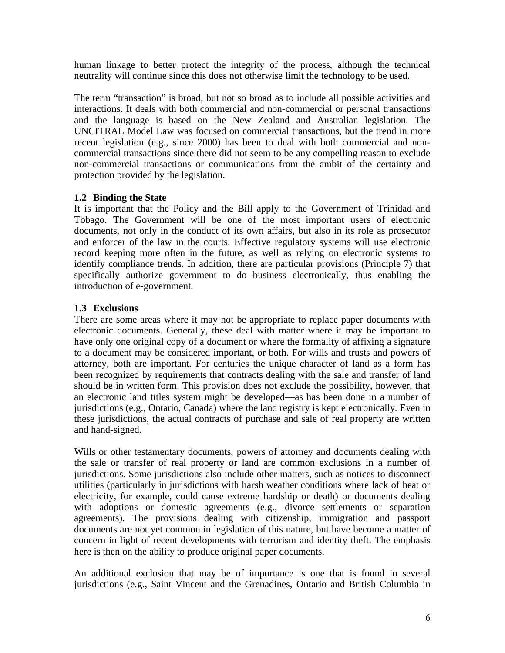human linkage to better protect the integrity of the process, although the technical neutrality will continue since this does not otherwise limit the technology to be used.

The term "transaction" is broad, but not so broad as to include all possible activities and interactions. It deals with both commercial and non-commercial or personal transactions and the language is based on the New Zealand and Australian legislation. The UNCITRAL Model Law was focused on commercial transactions, but the trend in more recent legislation (e.g., since 2000) has been to deal with both commercial and noncommercial transactions since there did not seem to be any compelling reason to exclude non-commercial transactions or communications from the ambit of the certainty and protection provided by the legislation.

## **1.2 Binding the State**

It is important that the Policy and the Bill apply to the Government of Trinidad and Tobago. The Government will be one of the most important users of electronic documents, not only in the conduct of its own affairs, but also in its role as prosecutor and enforcer of the law in the courts. Effective regulatory systems will use electronic record keeping more often in the future, as well as relying on electronic systems to identify compliance trends. In addition, there are particular provisions (Principle 7) that specifically authorize government to do business electronically, thus enabling the introduction of e-government.

## **1.3 Exclusions**

There are some areas where it may not be appropriate to replace paper documents with electronic documents. Generally, these deal with matter where it may be important to have only one original copy of a document or where the formality of affixing a signature to a document may be considered important, or both. For wills and trusts and powers of attorney, both are important. For centuries the unique character of land as a form has been recognized by requirements that contracts dealing with the sale and transfer of land should be in written form. This provision does not exclude the possibility, however, that an electronic land titles system might be developed—as has been done in a number of jurisdictions (e.g., Ontario, Canada) where the land registry is kept electronically. Even in these jurisdictions, the actual contracts of purchase and sale of real property are written and hand-signed.

Wills or other testamentary documents, powers of attorney and documents dealing with the sale or transfer of real property or land are common exclusions in a number of jurisdictions. Some jurisdictions also include other matters, such as notices to disconnect utilities (particularly in jurisdictions with harsh weather conditions where lack of heat or electricity, for example, could cause extreme hardship or death) or documents dealing with adoptions or domestic agreements (e.g., divorce settlements or separation agreements). The provisions dealing with citizenship, immigration and passport documents are not yet common in legislation of this nature, but have become a matter of concern in light of recent developments with terrorism and identity theft. The emphasis here is then on the ability to produce original paper documents.

An additional exclusion that may be of importance is one that is found in several jurisdictions (e.g., Saint Vincent and the Grenadines, Ontario and British Columbia in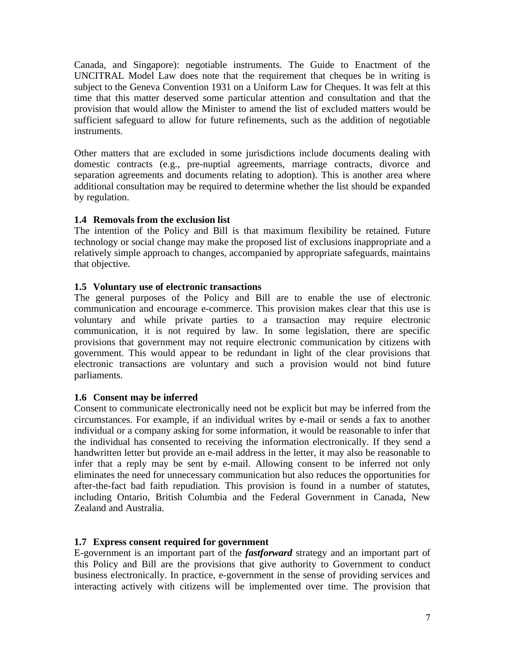Canada, and Singapore): negotiable instruments. The Guide to Enactment of the UNCITRAL Model Law does note that the requirement that cheques be in writing is subject to the Geneva Convention 1931 on a Uniform Law for Cheques. It was felt at this time that this matter deserved some particular attention and consultation and that the provision that would allow the Minister to amend the list of excluded matters would be sufficient safeguard to allow for future refinements, such as the addition of negotiable instruments.

Other matters that are excluded in some jurisdictions include documents dealing with domestic contracts (e.g., pre-nuptial agreements, marriage contracts, divorce and separation agreements and documents relating to adoption). This is another area where additional consultation may be required to determine whether the list should be expanded by regulation.

## **1.4 Removals from the exclusion list**

The intention of the Policy and Bill is that maximum flexibility be retained. Future technology or social change may make the proposed list of exclusions inappropriate and a relatively simple approach to changes, accompanied by appropriate safeguards, maintains that objective.

### **1.5 Voluntary use of electronic transactions**

The general purposes of the Policy and Bill are to enable the use of electronic communication and encourage e-commerce. This provision makes clear that this use is voluntary and while private parties to a transaction may require electronic communication, it is not required by law. In some legislation, there are specific provisions that government may not require electronic communication by citizens with government. This would appear to be redundant in light of the clear provisions that electronic transactions are voluntary and such a provision would not bind future parliaments.

### **1.6 Consent may be inferred**

Consent to communicate electronically need not be explicit but may be inferred from the circumstances. For example, if an individual writes by e-mail or sends a fax to another individual or a company asking for some information, it would be reasonable to infer that the individual has consented to receiving the information electronically. If they send a handwritten letter but provide an e-mail address in the letter, it may also be reasonable to infer that a reply may be sent by e-mail. Allowing consent to be inferred not only eliminates the need for unnecessary communication but also reduces the opportunities for after-the-fact bad faith repudiation. This provision is found in a number of statutes, including Ontario, British Columbia and the Federal Government in Canada, New Zealand and Australia.

### **1.7 Express consent required for government**

E-government is an important part of the *fastforward* strategy and an important part of this Policy and Bill are the provisions that give authority to Government to conduct business electronically. In practice, e-government in the sense of providing services and interacting actively with citizens will be implemented over time. The provision that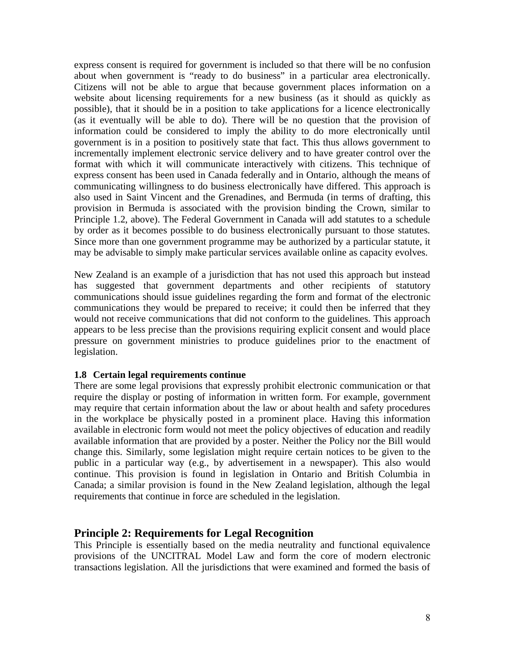express consent is required for government is included so that there will be no confusion about when government is "ready to do business" in a particular area electronically. Citizens will not be able to argue that because government places information on a website about licensing requirements for a new business (as it should as quickly as possible), that it should be in a position to take applications for a licence electronically (as it eventually will be able to do). There will be no question that the provision of information could be considered to imply the ability to do more electronically until government is in a position to positively state that fact. This thus allows government to incrementally implement electronic service delivery and to have greater control over the format with which it will communicate interactively with citizens. This technique of express consent has been used in Canada federally and in Ontario, although the means of communicating willingness to do business electronically have differed. This approach is also used in Saint Vincent and the Grenadines, and Bermuda (in terms of drafting, this provision in Bermuda is associated with the provision binding the Crown, similar to Principle 1.2, above). The Federal Government in Canada will add statutes to a schedule by order as it becomes possible to do business electronically pursuant to those statutes. Since more than one government programme may be authorized by a particular statute, it may be advisable to simply make particular services available online as capacity evolves.

New Zealand is an example of a jurisdiction that has not used this approach but instead has suggested that government departments and other recipients of statutory communications should issue guidelines regarding the form and format of the electronic communications they would be prepared to receive; it could then be inferred that they would not receive communications that did not conform to the guidelines. This approach appears to be less precise than the provisions requiring explicit consent and would place pressure on government ministries to produce guidelines prior to the enactment of legislation.

### **1.8 Certain legal requirements continue**

There are some legal provisions that expressly prohibit electronic communication or that require the display or posting of information in written form. For example, government may require that certain information about the law or about health and safety procedures in the workplace be physically posted in a prominent place. Having this information available in electronic form would not meet the policy objectives of education and readily available information that are provided by a poster. Neither the Policy nor the Bill would change this. Similarly, some legislation might require certain notices to be given to the public in a particular way (e.g., by advertisement in a newspaper). This also would continue. This provision is found in legislation in Ontario and British Columbia in Canada; a similar provision is found in the New Zealand legislation, although the legal requirements that continue in force are scheduled in the legislation.

### **Principle 2: Requirements for Legal Recognition**

This Principle is essentially based on the media neutrality and functional equivalence provisions of the UNCITRAL Model Law and form the core of modern electronic transactions legislation. All the jurisdictions that were examined and formed the basis of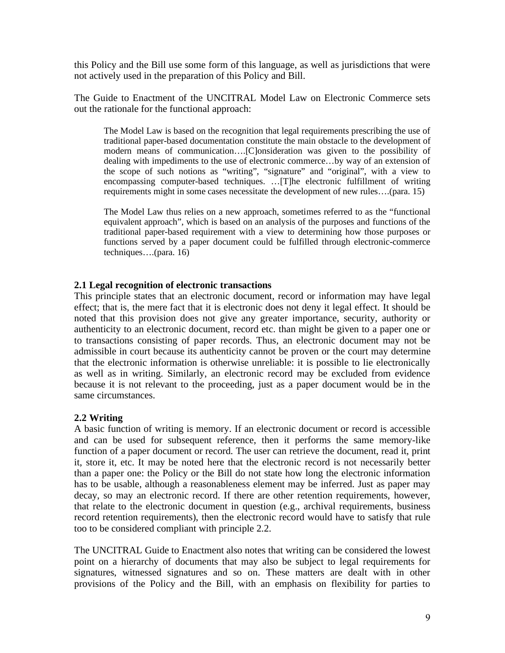this Policy and the Bill use some form of this language, as well as jurisdictions that were not actively used in the preparation of this Policy and Bill.

The Guide to Enactment of the UNCITRAL Model Law on Electronic Commerce sets out the rationale for the functional approach:

The Model Law is based on the recognition that legal requirements prescribing the use of traditional paper-based documentation constitute the main obstacle to the development of modern means of communication….[C]onsideration was given to the possibility of dealing with impediments to the use of electronic commerce…by way of an extension of the scope of such notions as "writing", "signature" and "original", with a view to encompassing computer-based techniques. …[T]he electronic fulfillment of writing requirements might in some cases necessitate the development of new rules….(para. 15)

The Model Law thus relies on a new approach, sometimes referred to as the "functional equivalent approach", which is based on an analysis of the purposes and functions of the traditional paper-based requirement with a view to determining how those purposes or functions served by a paper document could be fulfilled through electronic-commerce techniques….(para. 16)

#### **2.1 Legal recognition of electronic transactions**

This principle states that an electronic document, record or information may have legal effect; that is, the mere fact that it is electronic does not deny it legal effect. It should be noted that this provision does not give any greater importance, security, authority or authenticity to an electronic document, record etc. than might be given to a paper one or to transactions consisting of paper records. Thus, an electronic document may not be admissible in court because its authenticity cannot be proven or the court may determine that the electronic information is otherwise unreliable: it is possible to lie electronically as well as in writing. Similarly, an electronic record may be excluded from evidence because it is not relevant to the proceeding, just as a paper document would be in the same circumstances.

### **2.2 Writing**

A basic function of writing is memory. If an electronic document or record is accessible and can be used for subsequent reference, then it performs the same memory-like function of a paper document or record. The user can retrieve the document, read it, print it, store it, etc. It may be noted here that the electronic record is not necessarily better than a paper one: the Policy or the Bill do not state how long the electronic information has to be usable, although a reasonableness element may be inferred. Just as paper may decay, so may an electronic record. If there are other retention requirements, however, that relate to the electronic document in question (e.g., archival requirements, business record retention requirements), then the electronic record would have to satisfy that rule too to be considered compliant with principle 2.2.

The UNCITRAL Guide to Enactment also notes that writing can be considered the lowest point on a hierarchy of documents that may also be subject to legal requirements for signatures, witnessed signatures and so on. These matters are dealt with in other provisions of the Policy and the Bill, with an emphasis on flexibility for parties to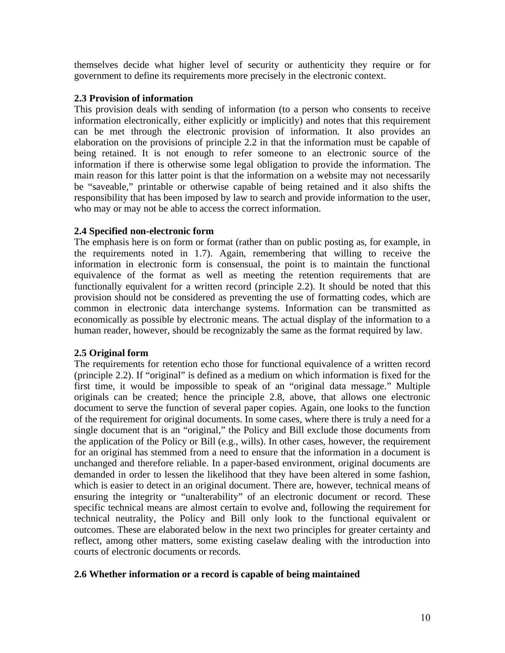themselves decide what higher level of security or authenticity they require or for government to define its requirements more precisely in the electronic context.

### **2.3 Provision of information**

This provision deals with sending of information (to a person who consents to receive information electronically, either explicitly or implicitly) and notes that this requirement can be met through the electronic provision of information. It also provides an elaboration on the provisions of principle 2.2 in that the information must be capable of being retained. It is not enough to refer someone to an electronic source of the information if there is otherwise some legal obligation to provide the information. The main reason for this latter point is that the information on a website may not necessarily be "saveable," printable or otherwise capable of being retained and it also shifts the responsibility that has been imposed by law to search and provide information to the user, who may or may not be able to access the correct information.

### **2.4 Specified non-electronic form**

The emphasis here is on form or format (rather than on public posting as, for example, in the requirements noted in 1.7). Again, remembering that willing to receive the information in electronic form is consensual, the point is to maintain the functional equivalence of the format as well as meeting the retention requirements that are functionally equivalent for a written record (principle 2.2). It should be noted that this provision should not be considered as preventing the use of formatting codes, which are common in electronic data interchange systems. Information can be transmitted as economically as possible by electronic means. The actual display of the information to a human reader, however, should be recognizably the same as the format required by law.

## **2.5 Original form**

The requirements for retention echo those for functional equivalence of a written record (principle 2.2). If "original" is defined as a medium on which information is fixed for the first time, it would be impossible to speak of an "original data message." Multiple originals can be created; hence the principle 2.8, above, that allows one electronic document to serve the function of several paper copies. Again, one looks to the function of the requirement for original documents. In some cases, where there is truly a need for a single document that is an "original," the Policy and Bill exclude those documents from the application of the Policy or Bill (e.g., wills). In other cases, however, the requirement for an original has stemmed from a need to ensure that the information in a document is unchanged and therefore reliable. In a paper-based environment, original documents are demanded in order to lessen the likelihood that they have been altered in some fashion, which is easier to detect in an original document. There are, however, technical means of ensuring the integrity or "unalterability" of an electronic document or record. These specific technical means are almost certain to evolve and, following the requirement for technical neutrality, the Policy and Bill only look to the functional equivalent or outcomes. These are elaborated below in the next two principles for greater certainty and reflect, among other matters, some existing caselaw dealing with the introduction into courts of electronic documents or records.

## **2.6 Whether information or a record is capable of being maintained**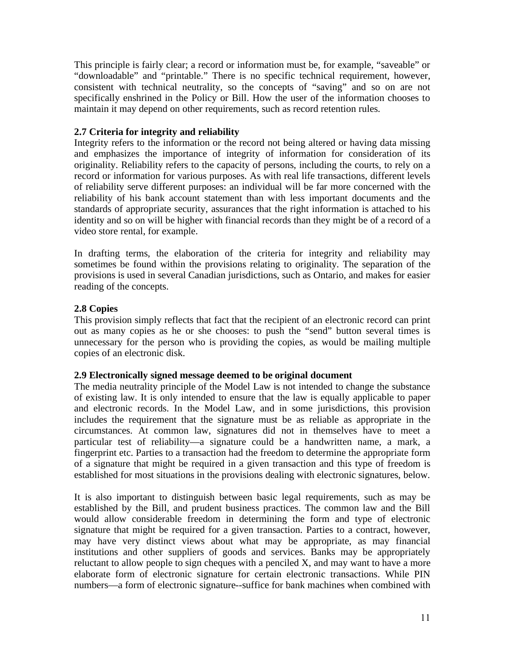This principle is fairly clear; a record or information must be, for example, "saveable" or "downloadable" and "printable." There is no specific technical requirement, however, consistent with technical neutrality, so the concepts of "saving" and so on are not specifically enshrined in the Policy or Bill. How the user of the information chooses to maintain it may depend on other requirements, such as record retention rules.

### **2.7 Criteria for integrity and reliability**

Integrity refers to the information or the record not being altered or having data missing and emphasizes the importance of integrity of information for consideration of its originality. Reliability refers to the capacity of persons, including the courts, to rely on a record or information for various purposes. As with real life transactions, different levels of reliability serve different purposes: an individual will be far more concerned with the reliability of his bank account statement than with less important documents and the standards of appropriate security, assurances that the right information is attached to his identity and so on will be higher with financial records than they might be of a record of a video store rental, for example.

In drafting terms, the elaboration of the criteria for integrity and reliability may sometimes be found within the provisions relating to originality. The separation of the provisions is used in several Canadian jurisdictions, such as Ontario, and makes for easier reading of the concepts.

## **2.8 Copies**

This provision simply reflects that fact that the recipient of an electronic record can print out as many copies as he or she chooses: to push the "send" button several times is unnecessary for the person who is providing the copies, as would be mailing multiple copies of an electronic disk.

### **2.9 Electronically signed message deemed to be original document**

The media neutrality principle of the Model Law is not intended to change the substance of existing law. It is only intended to ensure that the law is equally applicable to paper and electronic records. In the Model Law, and in some jurisdictions, this provision includes the requirement that the signature must be as reliable as appropriate in the circumstances. At common law, signatures did not in themselves have to meet a particular test of reliability—a signature could be a handwritten name, a mark, a fingerprint etc. Parties to a transaction had the freedom to determine the appropriate form of a signature that might be required in a given transaction and this type of freedom is established for most situations in the provisions dealing with electronic signatures, below.

It is also important to distinguish between basic legal requirements, such as may be established by the Bill, and prudent business practices. The common law and the Bill would allow considerable freedom in determining the form and type of electronic signature that might be required for a given transaction. Parties to a contract, however, may have very distinct views about what may be appropriate, as may financial institutions and other suppliers of goods and services. Banks may be appropriately reluctant to allow people to sign cheques with a penciled X, and may want to have a more elaborate form of electronic signature for certain electronic transactions. While PIN numbers—a form of electronic signature--suffice for bank machines when combined with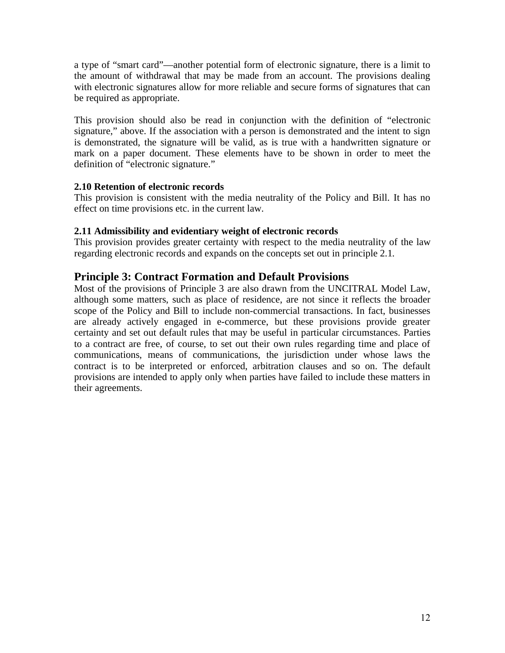a type of "smart card"—another potential form of electronic signature, there is a limit to the amount of withdrawal that may be made from an account. The provisions dealing with electronic signatures allow for more reliable and secure forms of signatures that can be required as appropriate.

This provision should also be read in conjunction with the definition of "electronic signature," above. If the association with a person is demonstrated and the intent to sign is demonstrated, the signature will be valid, as is true with a handwritten signature or mark on a paper document. These elements have to be shown in order to meet the definition of "electronic signature."

### **2.10 Retention of electronic records**

This provision is consistent with the media neutrality of the Policy and Bill. It has no effect on time provisions etc. in the current law.

### **2.11 Admissibility and evidentiary weight of electronic records**

This provision provides greater certainty with respect to the media neutrality of the law regarding electronic records and expands on the concepts set out in principle 2.1.

## **Principle 3: Contract Formation and Default Provisions**

Most of the provisions of Principle 3 are also drawn from the UNCITRAL Model Law, although some matters, such as place of residence, are not since it reflects the broader scope of the Policy and Bill to include non-commercial transactions. In fact, businesses are already actively engaged in e-commerce, but these provisions provide greater certainty and set out default rules that may be useful in particular circumstances. Parties to a contract are free, of course, to set out their own rules regarding time and place of communications, means of communications, the jurisdiction under whose laws the contract is to be interpreted or enforced, arbitration clauses and so on. The default provisions are intended to apply only when parties have failed to include these matters in their agreements.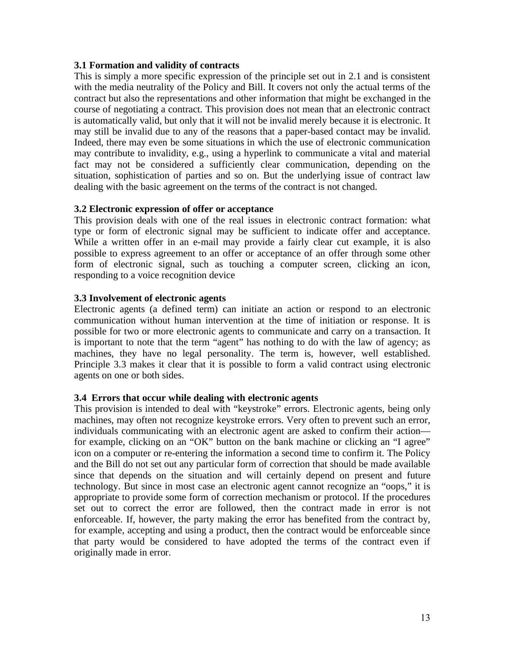### **3.1 Formation and validity of contracts**

This is simply a more specific expression of the principle set out in 2.1 and is consistent with the media neutrality of the Policy and Bill. It covers not only the actual terms of the contract but also the representations and other information that might be exchanged in the course of negotiating a contract. This provision does not mean that an electronic contract is automatically valid, but only that it will not be invalid merely because it is electronic. It may still be invalid due to any of the reasons that a paper-based contact may be invalid. Indeed, there may even be some situations in which the use of electronic communication may contribute to invalidity, e.g., using a hyperlink to communicate a vital and material fact may not be considered a sufficiently clear communication, depending on the situation, sophistication of parties and so on. But the underlying issue of contract law dealing with the basic agreement on the terms of the contract is not changed.

#### **3.2 Electronic expression of offer or acceptance**

This provision deals with one of the real issues in electronic contract formation: what type or form of electronic signal may be sufficient to indicate offer and acceptance. While a written offer in an e-mail may provide a fairly clear cut example, it is also possible to express agreement to an offer or acceptance of an offer through some other form of electronic signal, such as touching a computer screen, clicking an icon, responding to a voice recognition device

#### **3.3 Involvement of electronic agents**

Electronic agents (a defined term) can initiate an action or respond to an electronic communication without human intervention at the time of initiation or response. It is possible for two or more electronic agents to communicate and carry on a transaction. It is important to note that the term "agent" has nothing to do with the law of agency; as machines, they have no legal personality. The term is, however, well established. Principle 3.3 makes it clear that it is possible to form a valid contract using electronic agents on one or both sides.

#### **3.4 Errors that occur while dealing with electronic agents**

This provision is intended to deal with "keystroke" errors. Electronic agents, being only machines, may often not recognize keystroke errors. Very often to prevent such an error, individuals communicating with an electronic agent are asked to confirm their action for example, clicking on an "OK" button on the bank machine or clicking an "I agree" icon on a computer or re-entering the information a second time to confirm it. The Policy and the Bill do not set out any particular form of correction that should be made available since that depends on the situation and will certainly depend on present and future technology. But since in most case an electronic agent cannot recognize an "oops," it is appropriate to provide some form of correction mechanism or protocol. If the procedures set out to correct the error are followed, then the contract made in error is not enforceable. If, however, the party making the error has benefited from the contract by, for example, accepting and using a product, then the contract would be enforceable since that party would be considered to have adopted the terms of the contract even if originally made in error.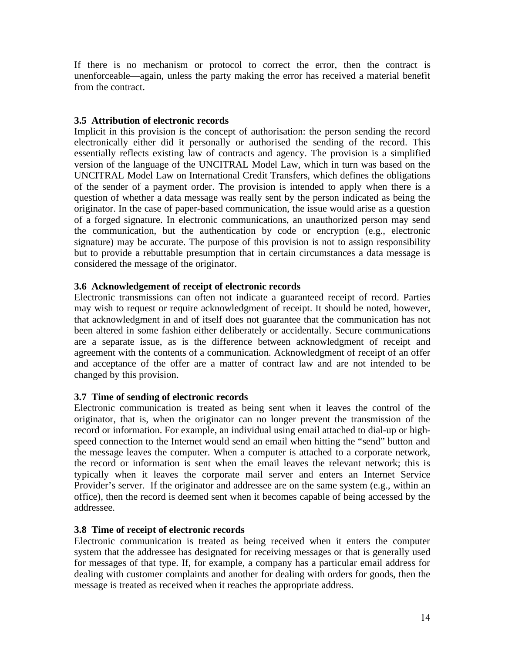If there is no mechanism or protocol to correct the error, then the contract is unenforceable—again, unless the party making the error has received a material benefit from the contract.

### **3.5 Attribution of electronic records**

Implicit in this provision is the concept of authorisation: the person sending the record electronically either did it personally or authorised the sending of the record. This essentially reflects existing law of contracts and agency. The provision is a simplified version of the language of the UNCITRAL Model Law, which in turn was based on the UNCITRAL Model Law on International Credit Transfers, which defines the obligations of the sender of a payment order. The provision is intended to apply when there is a question of whether a data message was really sent by the person indicated as being the originator. In the case of paper-based communication, the issue would arise as a question of a forged signature. In electronic communications, an unauthorized person may send the communication, but the authentication by code or encryption (e.g., electronic signature) may be accurate. The purpose of this provision is not to assign responsibility but to provide a rebuttable presumption that in certain circumstances a data message is considered the message of the originator.

### **3.6 Acknowledgement of receipt of electronic records**

Electronic transmissions can often not indicate a guaranteed receipt of record. Parties may wish to request or require acknowledgment of receipt. It should be noted, however, that acknowledgment in and of itself does not guarantee that the communication has not been altered in some fashion either deliberately or accidentally. Secure communications are a separate issue, as is the difference between acknowledgment of receipt and agreement with the contents of a communication. Acknowledgment of receipt of an offer and acceptance of the offer are a matter of contract law and are not intended to be changed by this provision.

### **3.7 Time of sending of electronic records**

Electronic communication is treated as being sent when it leaves the control of the originator, that is, when the originator can no longer prevent the transmission of the record or information. For example, an individual using email attached to dial-up or highspeed connection to the Internet would send an email when hitting the "send" button and the message leaves the computer. When a computer is attached to a corporate network, the record or information is sent when the email leaves the relevant network; this is typically when it leaves the corporate mail server and enters an Internet Service Provider's server. If the originator and addressee are on the same system (e.g., within an office), then the record is deemed sent when it becomes capable of being accessed by the addressee.

### **3.8 Time of receipt of electronic records**

Electronic communication is treated as being received when it enters the computer system that the addressee has designated for receiving messages or that is generally used for messages of that type. If, for example, a company has a particular email address for dealing with customer complaints and another for dealing with orders for goods, then the message is treated as received when it reaches the appropriate address.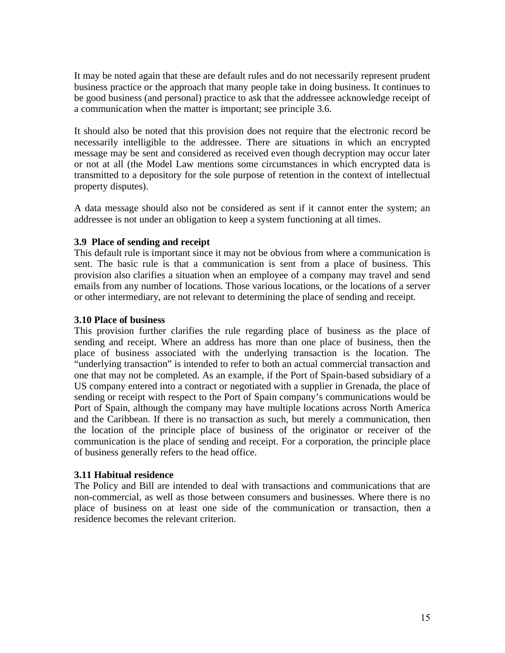It may be noted again that these are default rules and do not necessarily represent prudent business practice or the approach that many people take in doing business. It continues to be good business (and personal) practice to ask that the addressee acknowledge receipt of a communication when the matter is important; see principle 3.6.

It should also be noted that this provision does not require that the electronic record be necessarily intelligible to the addressee. There are situations in which an encrypted message may be sent and considered as received even though decryption may occur later or not at all (the Model Law mentions some circumstances in which encrypted data is transmitted to a depository for the sole purpose of retention in the context of intellectual property disputes).

A data message should also not be considered as sent if it cannot enter the system; an addressee is not under an obligation to keep a system functioning at all times.

### **3.9 Place of sending and receipt**

This default rule is important since it may not be obvious from where a communication is sent. The basic rule is that a communication is sent from a place of business. This provision also clarifies a situation when an employee of a company may travel and send emails from any number of locations. Those various locations, or the locations of a server or other intermediary, are not relevant to determining the place of sending and receipt.

### **3.10 Place of business**

This provision further clarifies the rule regarding place of business as the place of sending and receipt. Where an address has more than one place of business, then the place of business associated with the underlying transaction is the location. The "underlying transaction" is intended to refer to both an actual commercial transaction and one that may not be completed. As an example, if the Port of Spain-based subsidiary of a US company entered into a contract or negotiated with a supplier in Grenada, the place of sending or receipt with respect to the Port of Spain company's communications would be Port of Spain, although the company may have multiple locations across North America and the Caribbean. If there is no transaction as such, but merely a communication, then the location of the principle place of business of the originator or receiver of the communication is the place of sending and receipt. For a corporation, the principle place of business generally refers to the head office.

### **3.11 Habitual residence**

The Policy and Bill are intended to deal with transactions and communications that are non-commercial, as well as those between consumers and businesses. Where there is no place of business on at least one side of the communication or transaction, then a residence becomes the relevant criterion.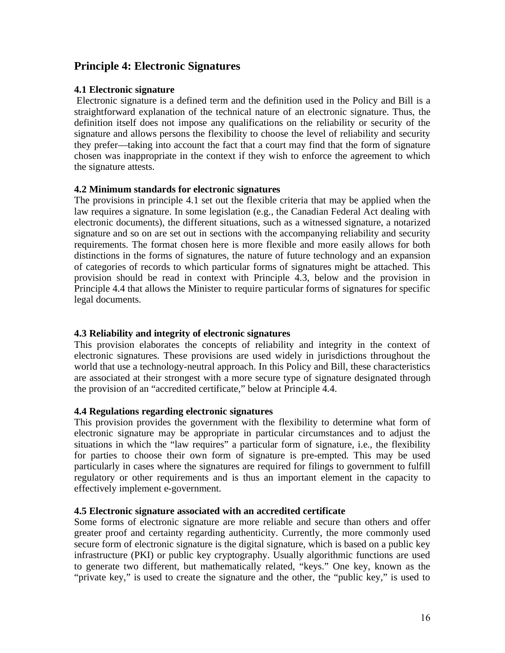## **Principle 4: Electronic Signatures**

### **4.1 Electronic signature**

 Electronic signature is a defined term and the definition used in the Policy and Bill is a straightforward explanation of the technical nature of an electronic signature. Thus, the definition itself does not impose any qualifications on the reliability or security of the signature and allows persons the flexibility to choose the level of reliability and security they prefer—taking into account the fact that a court may find that the form of signature chosen was inappropriate in the context if they wish to enforce the agreement to which the signature attests.

### **4.2 Minimum standards for electronic signatures**

The provisions in principle 4.1 set out the flexible criteria that may be applied when the law requires a signature. In some legislation (e.g., the Canadian Federal Act dealing with electronic documents), the different situations, such as a witnessed signature, a notarized signature and so on are set out in sections with the accompanying reliability and security requirements. The format chosen here is more flexible and more easily allows for both distinctions in the forms of signatures, the nature of future technology and an expansion of categories of records to which particular forms of signatures might be attached. This provision should be read in context with Principle 4.3, below and the provision in Principle 4.4 that allows the Minister to require particular forms of signatures for specific legal documents.

## **4.3 Reliability and integrity of electronic signatures**

This provision elaborates the concepts of reliability and integrity in the context of electronic signatures. These provisions are used widely in jurisdictions throughout the world that use a technology-neutral approach. In this Policy and Bill, these characteristics are associated at their strongest with a more secure type of signature designated through the provision of an "accredited certificate," below at Principle 4.4.

### **4.4 Regulations regarding electronic signatures**

This provision provides the government with the flexibility to determine what form of electronic signature may be appropriate in particular circumstances and to adjust the situations in which the "law requires" a particular form of signature, i.e., the flexibility for parties to choose their own form of signature is pre-empted. This may be used particularly in cases where the signatures are required for filings to government to fulfill regulatory or other requirements and is thus an important element in the capacity to effectively implement e-government.

### **4.5 Electronic signature associated with an accredited certificate**

Some forms of electronic signature are more reliable and secure than others and offer greater proof and certainty regarding authenticity. Currently, the more commonly used secure form of electronic signature is the digital signature, which is based on a public key infrastructure (PKI) or public key cryptography. Usually algorithmic functions are used to generate two different, but mathematically related, "keys." One key, known as the "private key," is used to create the signature and the other, the "public key," is used to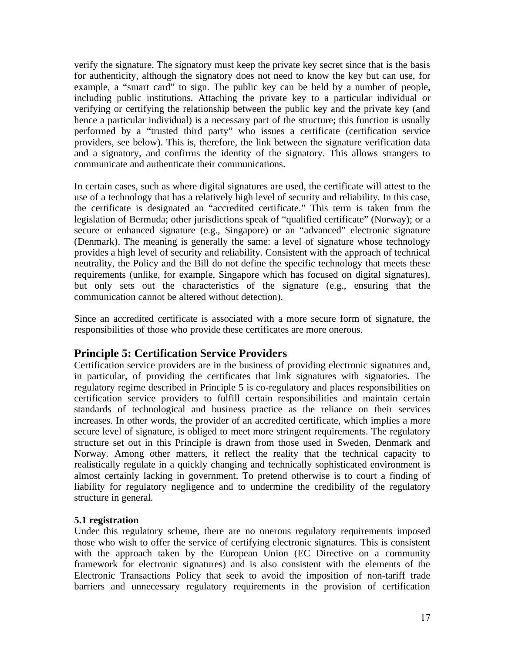verify the signature. The signatory must keep the private key secret since that is the basis for authenticity, although the signatory does not need to know the key but can use, for example, a "smart card" to sign. The public key can be held by a number of people, including public institutions. Attaching the private key to a particular individual or verifying or certifying the relationship between the public key and the private key (and hence a particular individual) is a necessary part of the structure; this function is usually performed by a "trusted third party" who issues a certificate (certification service providers, see below). This is, therefore, the link between the signature verification data and a signatory, and confirms the identity of the signatory. This allows strangers to communicate and authenticate their communications.

In certain cases, such as where digital signatures are used, the certificate will attest to the use of a technology that has a relatively high level of security and reliability. In this case, the certificate is designated an "accredited certificate." This term is taken from the legislation of Bermuda; other jurisdictions speak of "qualified certificate" (Norway); or a secure or enhanced signature (e.g., Singapore) or an "advanced" electronic signature (Denmark). The meaning is generally the same: a level of signature whose technology provides a high level of security and reliability. Consistent with the approach of technical neutrality, the Policy and the Bill do not define the specific technology that meets these requirements (unlike, for example, Singapore which has focused on digital signatures), but only sets out the characteristics of the signature (e.g., ensuring that the communication cannot be altered without detection).

Since an accredited certificate is associated with a more secure form of signature, the responsibilities of those who provide these certificates are more onerous.

## **Principle 5: Certification Service Providers**

Certification service providers are in the business of providing electronic signatures and, in particular, of providing the certificates that link signatures with signatories. The regulatory regime described in Principle 5 is co-regulatory and places responsibilities on certification service providers to fulfill certain responsibilities and maintain certain standards of technological and business practice as the reliance on their services increases. In other words, the provider of an accredited certificate, which implies a more secure level of signature, is obliged to meet more stringent requirements. The regulatory structure set out in this Principle is drawn from those used in Sweden, Denmark and Norway. Among other matters, it reflect the reality that the technical capacity to realistically regulate in a quickly changing and technically sophisticated environment is almost certainly lacking in government. To pretend otherwise is to court a finding of liability for regulatory negligence and to undermine the credibility of the regulatory structure in general.

### **5.1 registration**

Under this regulatory scheme, there are no onerous regulatory requirements imposed those who wish to offer the service of certifying electronic signatures. This is consistent with the approach taken by the European Union (EC Directive on a community framework for electronic signatures) and is also consistent with the elements of the Electronic Transactions Policy that seek to avoid the imposition of non-tariff trade barriers and unnecessary regulatory requirements in the provision of certification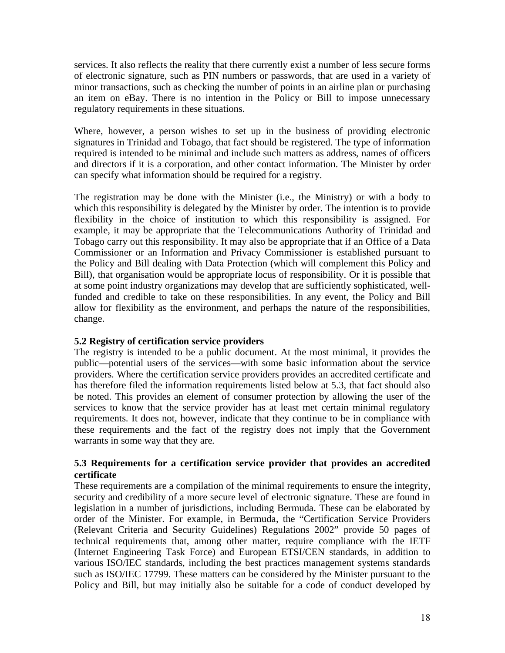services. It also reflects the reality that there currently exist a number of less secure forms of electronic signature, such as PIN numbers or passwords, that are used in a variety of minor transactions, such as checking the number of points in an airline plan or purchasing an item on eBay. There is no intention in the Policy or Bill to impose unnecessary regulatory requirements in these situations.

Where, however, a person wishes to set up in the business of providing electronic signatures in Trinidad and Tobago, that fact should be registered. The type of information required is intended to be minimal and include such matters as address, names of officers and directors if it is a corporation, and other contact information. The Minister by order can specify what information should be required for a registry.

The registration may be done with the Minister (i.e., the Ministry) or with a body to which this responsibility is delegated by the Minister by order. The intention is to provide flexibility in the choice of institution to which this responsibility is assigned. For example, it may be appropriate that the Telecommunications Authority of Trinidad and Tobago carry out this responsibility. It may also be appropriate that if an Office of a Data Commissioner or an Information and Privacy Commissioner is established pursuant to the Policy and Bill dealing with Data Protection (which will complement this Policy and Bill), that organisation would be appropriate locus of responsibility. Or it is possible that at some point industry organizations may develop that are sufficiently sophisticated, wellfunded and credible to take on these responsibilities. In any event, the Policy and Bill allow for flexibility as the environment, and perhaps the nature of the responsibilities, change.

### **5.2 Registry of certification service providers**

The registry is intended to be a public document. At the most minimal, it provides the public—potential users of the services—with some basic information about the service providers. Where the certification service providers provides an accredited certificate and has therefore filed the information requirements listed below at 5.3, that fact should also be noted. This provides an element of consumer protection by allowing the user of the services to know that the service provider has at least met certain minimal regulatory requirements. It does not, however, indicate that they continue to be in compliance with these requirements and the fact of the registry does not imply that the Government warrants in some way that they are.

### **5.3 Requirements for a certification service provider that provides an accredited certificate**

These requirements are a compilation of the minimal requirements to ensure the integrity, security and credibility of a more secure level of electronic signature. These are found in legislation in a number of jurisdictions, including Bermuda. These can be elaborated by order of the Minister. For example, in Bermuda, the "Certification Service Providers (Relevant Criteria and Security Guidelines) Regulations 2002" provide 50 pages of technical requirements that, among other matter, require compliance with the IETF (Internet Engineering Task Force) and European ETSI/CEN standards, in addition to various ISO/IEC standards, including the best practices management systems standards such as ISO/IEC 17799. These matters can be considered by the Minister pursuant to the Policy and Bill, but may initially also be suitable for a code of conduct developed by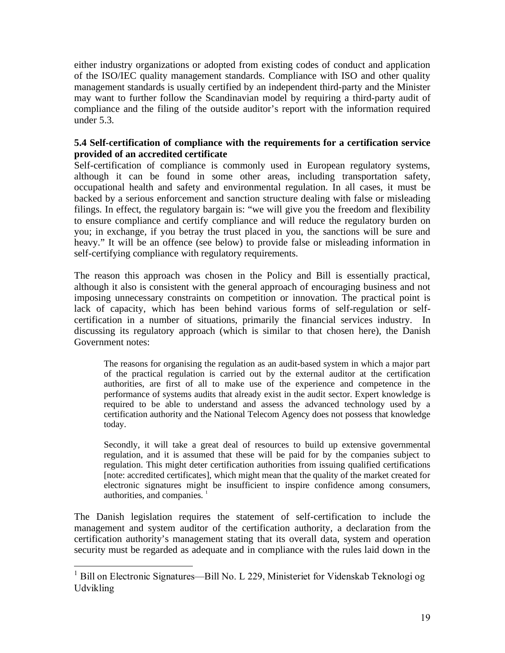either industry organizations or adopted from existing codes of conduct and application of the ISO/IEC quality management standards. Compliance with ISO and other quality management standards is usually certified by an independent third-party and the Minister may want to further follow the Scandinavian model by requiring a third-party audit of compliance and the filing of the outside auditor's report with the information required under 5.3.

## **5.4 Self-certification of compliance with the requirements for a certification service provided of an accredited certificate**

Self-certification of compliance is commonly used in European regulatory systems, although it can be found in some other areas, including transportation safety, occupational health and safety and environmental regulation. In all cases, it must be backed by a serious enforcement and sanction structure dealing with false or misleading filings. In effect, the regulatory bargain is: "we will give you the freedom and flexibility to ensure compliance and certify compliance and will reduce the regulatory burden on you; in exchange, if you betray the trust placed in you, the sanctions will be sure and heavy." It will be an offence (see below) to provide false or misleading information in self-certifying compliance with regulatory requirements.

The reason this approach was chosen in the Policy and Bill is essentially practical, although it also is consistent with the general approach of encouraging business and not imposing unnecessary constraints on competition or innovation. The practical point is lack of capacity, which has been behind various forms of self-regulation or selfcertification in a number of situations, primarily the financial services industry. In discussing its regulatory approach (which is similar to that chosen here), the Danish Government notes:

The reasons for organising the regulation as an audit-based system in which a major part of the practical regulation is carried out by the external auditor at the certification authorities, are first of all to make use of the experience and competence in the performance of systems audits that already exist in the audit sector. Expert knowledge is required to be able to understand and assess the advanced technology used by a certification authority and the National Telecom Agency does not possess that knowledge today.

Secondly, it will take a great deal of resources to build up extensive governmental regulation, and it is assumed that these will be paid for by the companies subject to regulation. This might deter certification authorities from issuing qualified certifications [note: accredited certificates], which might mean that the quality of the market created for electronic signatures might be insufficient to inspire confidence among consumers, authorities, and companies.<sup>1</sup>

The Danish legislation requires the statement of self-certification to include the management and system auditor of the certification authority, a declaration from the certification authority's management stating that its overall data, system and operation security must be regarded as adequate and in compliance with the rules laid down in the

 $\overline{a}$ 

<sup>&</sup>lt;sup>1</sup> Bill on Electronic Signatures—Bill No. L 229, Ministeriet for Videnskab Teknologi og Udvikling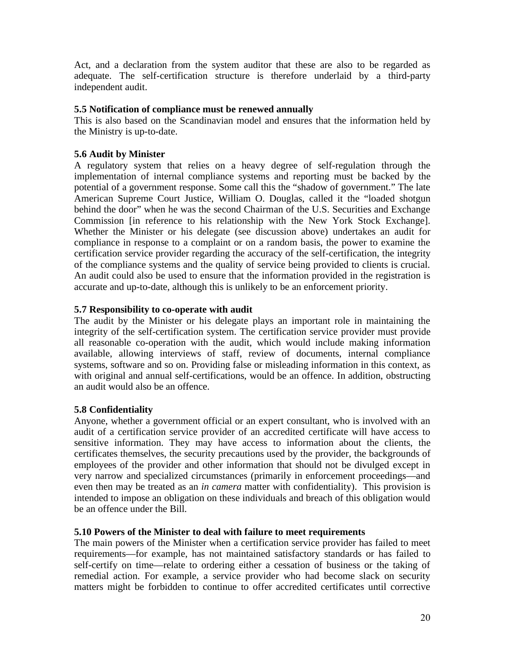Act, and a declaration from the system auditor that these are also to be regarded as adequate. The self-certification structure is therefore underlaid by a third-party independent audit.

### **5.5 Notification of compliance must be renewed annually**

This is also based on the Scandinavian model and ensures that the information held by the Ministry is up-to-date.

### **5.6 Audit by Minister**

A regulatory system that relies on a heavy degree of self-regulation through the implementation of internal compliance systems and reporting must be backed by the potential of a government response. Some call this the "shadow of government." The late American Supreme Court Justice, William O. Douglas, called it the "loaded shotgun behind the door" when he was the second Chairman of the U.S. Securities and Exchange Commission [in reference to his relationship with the New York Stock Exchange]. Whether the Minister or his delegate (see discussion above) undertakes an audit for compliance in response to a complaint or on a random basis, the power to examine the certification service provider regarding the accuracy of the self-certification, the integrity of the compliance systems and the quality of service being provided to clients is crucial. An audit could also be used to ensure that the information provided in the registration is accurate and up-to-date, although this is unlikely to be an enforcement priority.

### **5.7 Responsibility to co-operate with audit**

The audit by the Minister or his delegate plays an important role in maintaining the integrity of the self-certification system. The certification service provider must provide all reasonable co-operation with the audit, which would include making information available, allowing interviews of staff, review of documents, internal compliance systems, software and so on. Providing false or misleading information in this context, as with original and annual self-certifications, would be an offence. In addition, obstructing an audit would also be an offence.

## **5.8 Confidentiality**

Anyone, whether a government official or an expert consultant, who is involved with an audit of a certification service provider of an accredited certificate will have access to sensitive information. They may have access to information about the clients, the certificates themselves, the security precautions used by the provider, the backgrounds of employees of the provider and other information that should not be divulged except in very narrow and specialized circumstances (primarily in enforcement proceedings—and even then may be treated as an *in camera* matter with confidentiality). This provision is intended to impose an obligation on these individuals and breach of this obligation would be an offence under the Bill.

### **5.10 Powers of the Minister to deal with failure to meet requirements**

The main powers of the Minister when a certification service provider has failed to meet requirements—for example, has not maintained satisfactory standards or has failed to self-certify on time—relate to ordering either a cessation of business or the taking of remedial action. For example, a service provider who had become slack on security matters might be forbidden to continue to offer accredited certificates until corrective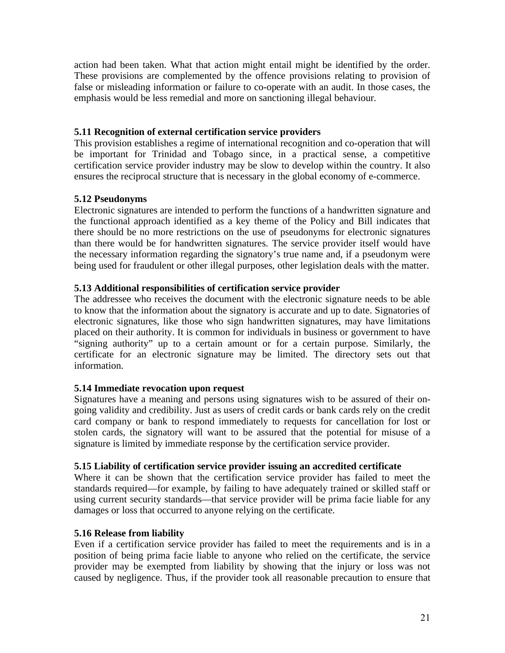action had been taken. What that action might entail might be identified by the order. These provisions are complemented by the offence provisions relating to provision of false or misleading information or failure to co-operate with an audit. In those cases, the emphasis would be less remedial and more on sanctioning illegal behaviour.

### **5.11 Recognition of external certification service providers**

This provision establishes a regime of international recognition and co-operation that will be important for Trinidad and Tobago since, in a practical sense, a competitive certification service provider industry may be slow to develop within the country. It also ensures the reciprocal structure that is necessary in the global economy of e-commerce.

### **5.12 Pseudonyms**

Electronic signatures are intended to perform the functions of a handwritten signature and the functional approach identified as a key theme of the Policy and Bill indicates that there should be no more restrictions on the use of pseudonyms for electronic signatures than there would be for handwritten signatures. The service provider itself would have the necessary information regarding the signatory's true name and, if a pseudonym were being used for fraudulent or other illegal purposes, other legislation deals with the matter.

### **5.13 Additional responsibilities of certification service provider**

The addressee who receives the document with the electronic signature needs to be able to know that the information about the signatory is accurate and up to date. Signatories of electronic signatures, like those who sign handwritten signatures, may have limitations placed on their authority. It is common for individuals in business or government to have "signing authority" up to a certain amount or for a certain purpose. Similarly, the certificate for an electronic signature may be limited. The directory sets out that information.

## **5.14 Immediate revocation upon request**

Signatures have a meaning and persons using signatures wish to be assured of their ongoing validity and credibility. Just as users of credit cards or bank cards rely on the credit card company or bank to respond immediately to requests for cancellation for lost or stolen cards, the signatory will want to be assured that the potential for misuse of a signature is limited by immediate response by the certification service provider.

### **5.15 Liability of certification service provider issuing an accredited certificate**

Where it can be shown that the certification service provider has failed to meet the standards required—for example, by failing to have adequately trained or skilled staff or using current security standards—that service provider will be prima facie liable for any damages or loss that occurred to anyone relying on the certificate.

### **5.16 Release from liability**

Even if a certification service provider has failed to meet the requirements and is in a position of being prima facie liable to anyone who relied on the certificate, the service provider may be exempted from liability by showing that the injury or loss was not caused by negligence. Thus, if the provider took all reasonable precaution to ensure that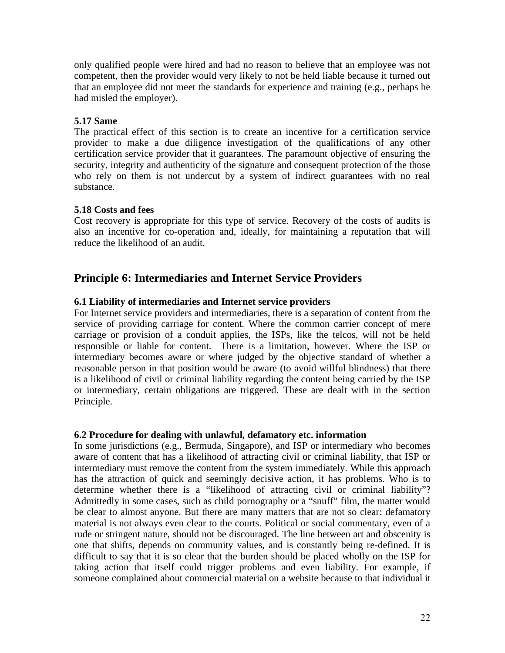only qualified people were hired and had no reason to believe that an employee was not competent, then the provider would very likely to not be held liable because it turned out that an employee did not meet the standards for experience and training (e.g., perhaps he had misled the employer).

### **5.17 Same**

The practical effect of this section is to create an incentive for a certification service provider to make a due diligence investigation of the qualifications of any other certification service provider that it guarantees. The paramount objective of ensuring the security, integrity and authenticity of the signature and consequent protection of the those who rely on them is not undercut by a system of indirect guarantees with no real substance.

### **5.18 Costs and fees**

Cost recovery is appropriate for this type of service. Recovery of the costs of audits is also an incentive for co-operation and, ideally, for maintaining a reputation that will reduce the likelihood of an audit.

# **Principle 6: Intermediaries and Internet Service Providers**

### **6.1 Liability of intermediaries and Internet service providers**

For Internet service providers and intermediaries, there is a separation of content from the service of providing carriage for content. Where the common carrier concept of mere carriage or provision of a conduit applies, the ISPs, like the telcos, will not be held responsible or liable for content. There is a limitation, however. Where the ISP or intermediary becomes aware or where judged by the objective standard of whether a reasonable person in that position would be aware (to avoid willful blindness) that there is a likelihood of civil or criminal liability regarding the content being carried by the ISP or intermediary, certain obligations are triggered. These are dealt with in the section Principle.

### **6.2 Procedure for dealing with unlawful, defamatory etc. information**

In some jurisdictions (e.g., Bermuda, Singapore), and ISP or intermediary who becomes aware of content that has a likelihood of attracting civil or criminal liability, that ISP or intermediary must remove the content from the system immediately. While this approach has the attraction of quick and seemingly decisive action, it has problems. Who is to determine whether there is a "likelihood of attracting civil or criminal liability"? Admittedly in some cases, such as child pornography or a "snuff" film, the matter would be clear to almost anyone. But there are many matters that are not so clear: defamatory material is not always even clear to the courts. Political or social commentary, even of a rude or stringent nature, should not be discouraged. The line between art and obscenity is one that shifts, depends on community values, and is constantly being re-defined. It is difficult to say that it is so clear that the burden should be placed wholly on the ISP for taking action that itself could trigger problems and even liability. For example, if someone complained about commercial material on a website because to that individual it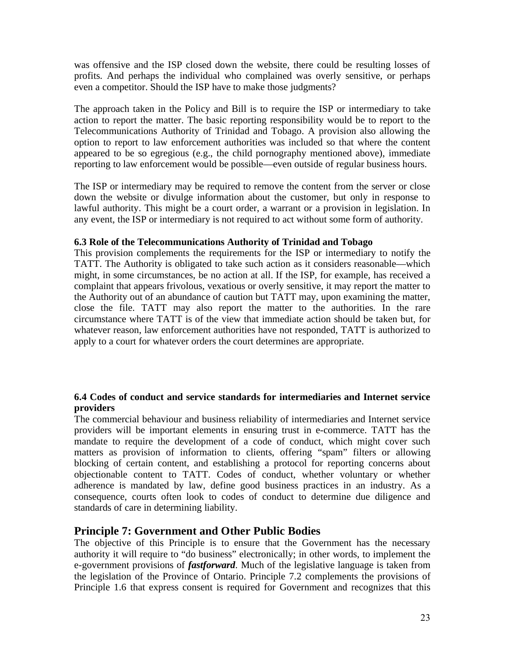was offensive and the ISP closed down the website, there could be resulting losses of profits. And perhaps the individual who complained was overly sensitive, or perhaps even a competitor. Should the ISP have to make those judgments?

The approach taken in the Policy and Bill is to require the ISP or intermediary to take action to report the matter. The basic reporting responsibility would be to report to the Telecommunications Authority of Trinidad and Tobago. A provision also allowing the option to report to law enforcement authorities was included so that where the content appeared to be so egregious (e.g., the child pornography mentioned above), immediate reporting to law enforcement would be possible—even outside of regular business hours.

The ISP or intermediary may be required to remove the content from the server or close down the website or divulge information about the customer, but only in response to lawful authority. This might be a court order, a warrant or a provision in legislation. In any event, the ISP or intermediary is not required to act without some form of authority.

### **6.3 Role of the Telecommunications Authority of Trinidad and Tobago**

This provision complements the requirements for the ISP or intermediary to notify the TATT. The Authority is obligated to take such action as it considers reasonable—which might, in some circumstances, be no action at all. If the ISP, for example, has received a complaint that appears frivolous, vexatious or overly sensitive, it may report the matter to the Authority out of an abundance of caution but TATT may, upon examining the matter, close the file. TATT may also report the matter to the authorities. In the rare circumstance where TATT is of the view that immediate action should be taken but, for whatever reason, law enforcement authorities have not responded, TATT is authorized to apply to a court for whatever orders the court determines are appropriate.

### **6.4 Codes of conduct and service standards for intermediaries and Internet service providers**

The commercial behaviour and business reliability of intermediaries and Internet service providers will be important elements in ensuring trust in e-commerce. TATT has the mandate to require the development of a code of conduct, which might cover such matters as provision of information to clients, offering "spam" filters or allowing blocking of certain content, and establishing a protocol for reporting concerns about objectionable content to TATT. Codes of conduct, whether voluntary or whether adherence is mandated by law, define good business practices in an industry. As a consequence, courts often look to codes of conduct to determine due diligence and standards of care in determining liability.

## **Principle 7: Government and Other Public Bodies**

The objective of this Principle is to ensure that the Government has the necessary authority it will require to "do business" electronically; in other words, to implement the e-government provisions of *fastforward*. Much of the legislative language is taken from the legislation of the Province of Ontario. Principle 7.2 complements the provisions of Principle 1.6 that express consent is required for Government and recognizes that this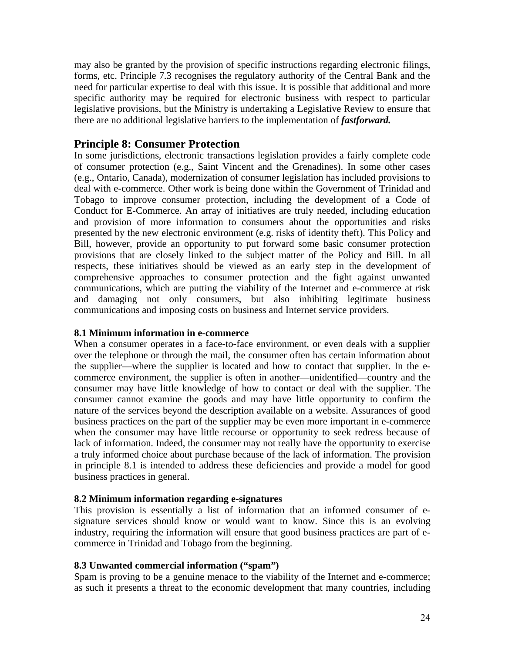may also be granted by the provision of specific instructions regarding electronic filings, forms, etc. Principle 7.3 recognises the regulatory authority of the Central Bank and the need for particular expertise to deal with this issue. It is possible that additional and more specific authority may be required for electronic business with respect to particular legislative provisions, but the Ministry is undertaking a Legislative Review to ensure that there are no additional legislative barriers to the implementation of *fastforward.*

## **Principle 8: Consumer Protection**

In some jurisdictions, electronic transactions legislation provides a fairly complete code of consumer protection (e.g., Saint Vincent and the Grenadines). In some other cases (e.g., Ontario, Canada), modernization of consumer legislation has included provisions to deal with e-commerce. Other work is being done within the Government of Trinidad and Tobago to improve consumer protection, including the development of a Code of Conduct for E-Commerce. An array of initiatives are truly needed, including education and provision of more information to consumers about the opportunities and risks presented by the new electronic environment (e.g. risks of identity theft). This Policy and Bill, however, provide an opportunity to put forward some basic consumer protection provisions that are closely linked to the subject matter of the Policy and Bill. In all respects, these initiatives should be viewed as an early step in the development of comprehensive approaches to consumer protection and the fight against unwanted communications, which are putting the viability of the Internet and e-commerce at risk and damaging not only consumers, but also inhibiting legitimate business communications and imposing costs on business and Internet service providers.

## **8.1 Minimum information in e-commerce**

When a consumer operates in a face-to-face environment, or even deals with a supplier over the telephone or through the mail, the consumer often has certain information about the supplier—where the supplier is located and how to contact that supplier. In the ecommerce environment, the supplier is often in another—unidentified—country and the consumer may have little knowledge of how to contact or deal with the supplier. The consumer cannot examine the goods and may have little opportunity to confirm the nature of the services beyond the description available on a website. Assurances of good business practices on the part of the supplier may be even more important in e-commerce when the consumer may have little recourse or opportunity to seek redress because of lack of information. Indeed, the consumer may not really have the opportunity to exercise a truly informed choice about purchase because of the lack of information. The provision in principle 8.1 is intended to address these deficiencies and provide a model for good business practices in general.

## **8.2 Minimum information regarding e-signatures**

This provision is essentially a list of information that an informed consumer of esignature services should know or would want to know. Since this is an evolving industry, requiring the information will ensure that good business practices are part of ecommerce in Trinidad and Tobago from the beginning.

### **8.3 Unwanted commercial information ("spam")**

Spam is proving to be a genuine menace to the viability of the Internet and e-commerce; as such it presents a threat to the economic development that many countries, including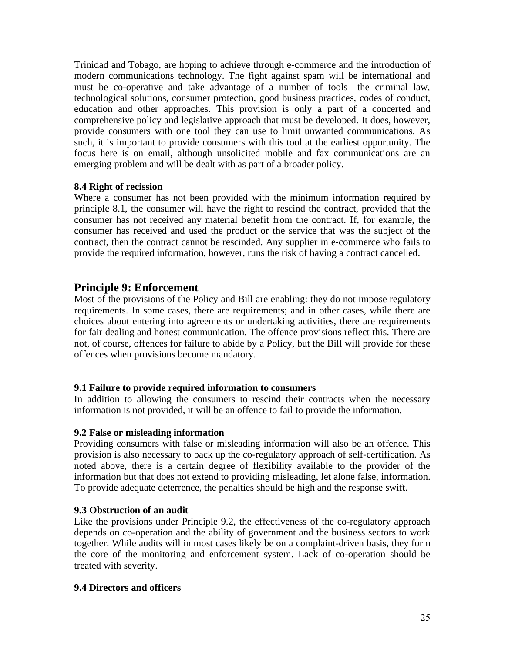Trinidad and Tobago, are hoping to achieve through e-commerce and the introduction of modern communications technology. The fight against spam will be international and must be co-operative and take advantage of a number of tools—the criminal law, technological solutions, consumer protection, good business practices, codes of conduct, education and other approaches. This provision is only a part of a concerted and comprehensive policy and legislative approach that must be developed. It does, however, provide consumers with one tool they can use to limit unwanted communications. As such, it is important to provide consumers with this tool at the earliest opportunity. The focus here is on email, although unsolicited mobile and fax communications are an emerging problem and will be dealt with as part of a broader policy.

## **8.4 Right of recission**

Where a consumer has not been provided with the minimum information required by principle 8.1, the consumer will have the right to rescind the contract, provided that the consumer has not received any material benefit from the contract. If, for example, the consumer has received and used the product or the service that was the subject of the contract, then the contract cannot be rescinded. Any supplier in e-commerce who fails to provide the required information, however, runs the risk of having a contract cancelled.

## **Principle 9: Enforcement**

Most of the provisions of the Policy and Bill are enabling: they do not impose regulatory requirements. In some cases, there are requirements; and in other cases, while there are choices about entering into agreements or undertaking activities, there are requirements for fair dealing and honest communication. The offence provisions reflect this. There are not, of course, offences for failure to abide by a Policy, but the Bill will provide for these offences when provisions become mandatory.

## **9.1 Failure to provide required information to consumers**

In addition to allowing the consumers to rescind their contracts when the necessary information is not provided, it will be an offence to fail to provide the information.

### **9.2 False or misleading information**

Providing consumers with false or misleading information will also be an offence. This provision is also necessary to back up the co-regulatory approach of self-certification. As noted above, there is a certain degree of flexibility available to the provider of the information but that does not extend to providing misleading, let alone false, information. To provide adequate deterrence, the penalties should be high and the response swift.

## **9.3 Obstruction of an audit**

Like the provisions under Principle 9.2, the effectiveness of the co-regulatory approach depends on co-operation and the ability of government and the business sectors to work together. While audits will in most cases likely be on a complaint-driven basis, they form the core of the monitoring and enforcement system. Lack of co-operation should be treated with severity.

### **9.4 Directors and officers**